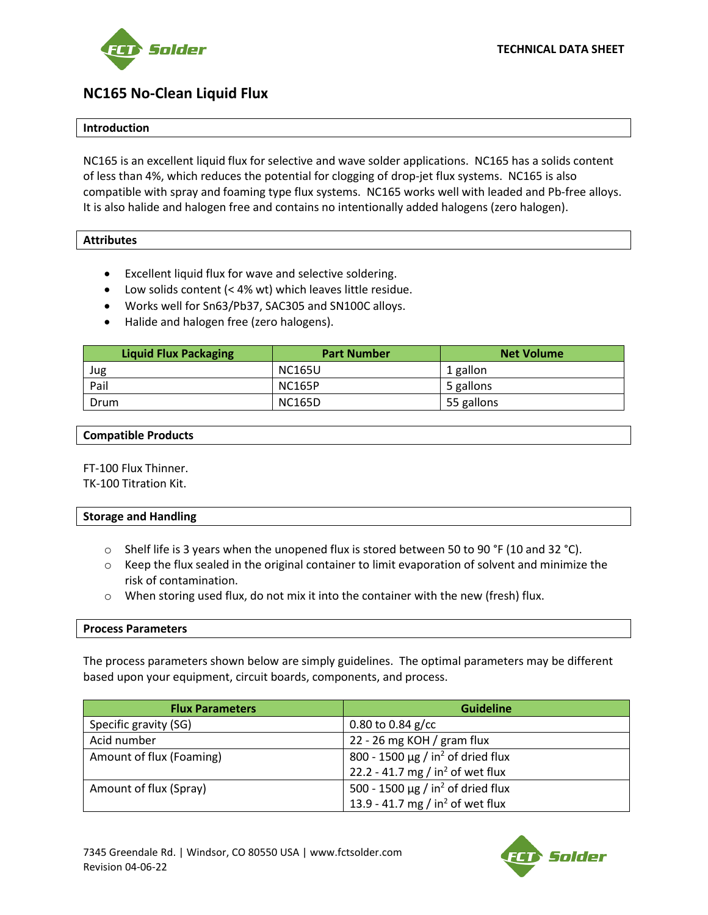

**TECHNICAL DATA SHEET**

# **NC165 No-Clean Liquid Flux**

# **Introduction**

NC165 is an excellent liquid flux for selective and wave solder applications. NC165 has a solids content of less than 4%, which reduces the potential for clogging of drop-jet flux systems. NC165 is also compatible with spray and foaming type flux systems. NC165 works well with leaded and Pb-free alloys. It is also halide and halogen free and contains no intentionally added halogens (zero halogen).

# **Attributes**

- Excellent liquid flux for wave and selective soldering.
- Low solids content (< 4% wt) which leaves little residue.
- Works well for Sn63/Pb37, SAC305 and SN100C alloys.
- Halide and halogen free (zero halogens).

| <b>Liquid Flux Packaging</b> | <b>Part Number</b> | <b>Net Volume</b> |
|------------------------------|--------------------|-------------------|
| Jug                          | <b>NC165U</b>      | 1 gallon          |
| Pail                         | <b>NC165P</b>      | 5 gallons         |
| Drum                         | <b>NC165D</b>      | 55 gallons        |

# **Compatible Products**

FT-100 Flux Thinner. TK-100 Titration Kit.

#### **Storage and Handling**

- $\circ$  Shelf life is 3 years when the unopened flux is stored between 50 to 90 °F (10 and 32 °C).
- $\circ$  Keep the flux sealed in the original container to limit evaporation of solvent and minimize the risk of contamination.
- $\circ$  When storing used flux, do not mix it into the container with the new (fresh) flux.

# **Process Parameters**

The process parameters shown below are simply guidelines. The optimal parameters may be different based upon your equipment, circuit boards, components, and process.

| <b>Flux Parameters</b>   | <b>Guideline</b>                                   |  |
|--------------------------|----------------------------------------------------|--|
| Specific gravity (SG)    | 0.80 to 0.84 $g$ /cc                               |  |
| Acid number              | 22 - 26 mg KOH / gram flux                         |  |
| Amount of flux (Foaming) | 800 - 1500 $\mu$ g / in <sup>2</sup> of dried flux |  |
|                          | 22.2 - 41.7 mg / in <sup>2</sup> of wet flux       |  |
| Amount of flux (Spray)   | 500 - 1500 $\mu$ g / in <sup>2</sup> of dried flux |  |
|                          | 13.9 - 41.7 mg / in <sup>2</sup> of wet flux       |  |

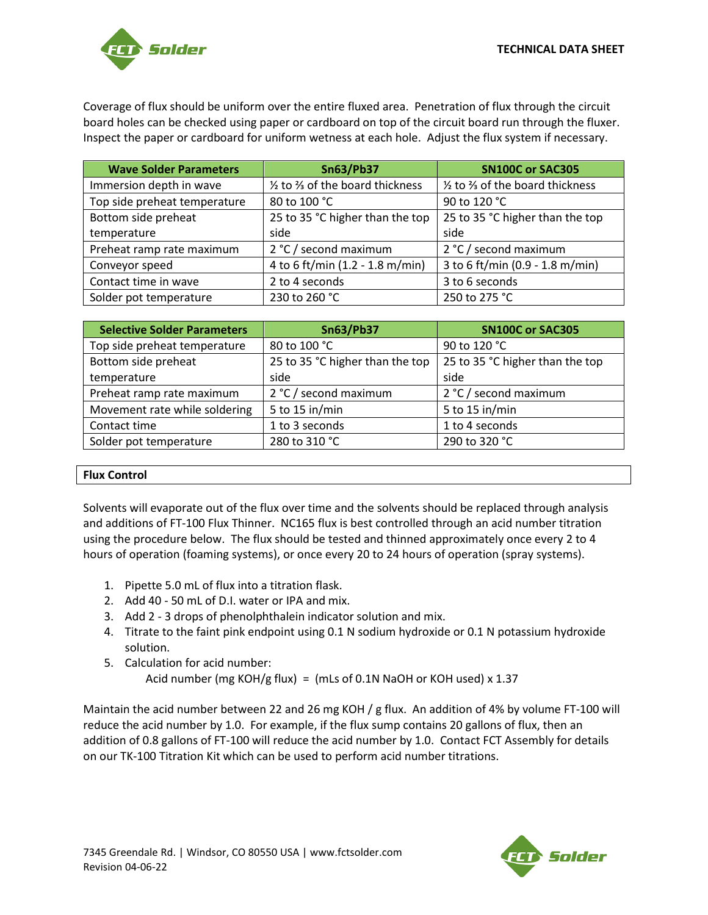

Coverage of flux should be uniform over the entire fluxed area. Penetration of flux through the circuit board holes can be checked using paper or cardboard on top of the circuit board run through the fluxer. Inspect the paper or cardboard for uniform wetness at each hole. Adjust the flux system if necessary.

| <b>Wave Solder Parameters</b> | <b>Sn63/Pb37</b>                  | <b>SN100C or SAC305</b>                               |
|-------------------------------|-----------------------------------|-------------------------------------------------------|
| Immersion depth in wave       | 1/2 to 3/3 of the board thickness | $\frac{1}{2}$ to $\frac{2}{3}$ of the board thickness |
| Top side preheat temperature  | 80 to 100 °C                      | 90 to 120 °C                                          |
| Bottom side preheat           | 25 to 35 °C higher than the top   | 25 to 35 °C higher than the top                       |
| temperature                   | side                              | side                                                  |
| Preheat ramp rate maximum     | 2 °C / second maximum             | 2 °C / second maximum                                 |
| Conveyor speed                | 4 to 6 ft/min (1.2 - 1.8 m/min)   | 3 to 6 ft/min (0.9 - 1.8 m/min)                       |
| Contact time in wave          | 2 to 4 seconds                    | 3 to 6 seconds                                        |
| Solder pot temperature        | 230 to 260 °C                     | 250 to 275 °C                                         |

| <b>Selective Solder Parameters</b> | <b>Sn63/Pb37</b>                | <b>SN100C or SAC305</b>         |
|------------------------------------|---------------------------------|---------------------------------|
| Top side preheat temperature       | 80 to 100 °C                    | 90 to 120 °C                    |
| Bottom side preheat                | 25 to 35 °C higher than the top | 25 to 35 °C higher than the top |
| temperature                        | side                            | side                            |
| Preheat ramp rate maximum          | 2 °C / second maximum           | 2 °C / second maximum           |
| Movement rate while soldering      | 5 to 15 in/min                  | 5 to 15 in/min                  |
| Contact time                       | 1 to 3 seconds                  | 1 to 4 seconds                  |
| Solder pot temperature             | 280 to 310 °C                   | 290 to 320 °C                   |

# **Flux Control**

Solvents will evaporate out of the flux over time and the solvents should be replaced through analysis and additions of FT-100 Flux Thinner. NC165 flux is best controlled through an acid number titration using the procedure below. The flux should be tested and thinned approximately once every 2 to 4 hours of operation (foaming systems), or once every 20 to 24 hours of operation (spray systems).

- 1. Pipette 5.0 mL of flux into a titration flask.
- 2. Add 40 50 mL of D.I. water or IPA and mix.
- 3. Add 2 3 drops of phenolphthalein indicator solution and mix.
- 4. Titrate to the faint pink endpoint using 0.1 N sodium hydroxide or 0.1 N potassium hydroxide solution.
- 5. Calculation for acid number: Acid number (mg KOH/g flux) = (mLs of 0.1N NaOH or KOH used) x 1.37

Maintain the acid number between 22 and 26 mg KOH / g flux. An addition of 4% by volume FT-100 will reduce the acid number by 1.0. For example, if the flux sump contains 20 gallons of flux, then an addition of 0.8 gallons of FT-100 will reduce the acid number by 1.0. Contact FCT Assembly for details on our TK-100 Titration Kit which can be used to perform acid number titrations.

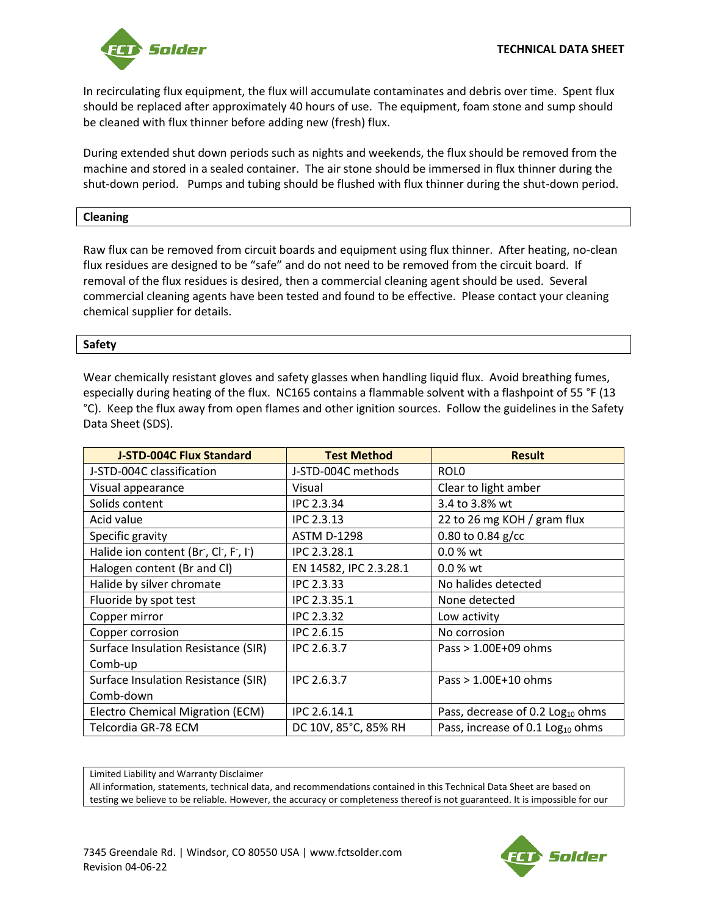

In recirculating flux equipment, the flux will accumulate contaminates and debris over time. Spent flux should be replaced after approximately 40 hours of use. The equipment, foam stone and sump should be cleaned with flux thinner before adding new (fresh) flux.

During extended shut down periods such as nights and weekends, the flux should be removed from the machine and stored in a sealed container. The air stone should be immersed in flux thinner during the shut-down period. Pumps and tubing should be flushed with flux thinner during the shut-down period.

# **Cleaning**

Raw flux can be removed from circuit boards and equipment using flux thinner. After heating, no-clean flux residues are designed to be "safe" and do not need to be removed from the circuit board. If removal of the flux residues is desired, then a commercial cleaning agent should be used. Several commercial cleaning agents have been tested and found to be effective. Please contact your cleaning chemical supplier for details.

# **Safety**

Wear chemically resistant gloves and safety glasses when handling liquid flux. Avoid breathing fumes, especially during heating of the flux. NC165 contains a flammable solvent with a flashpoint of 55 °F (13 °C). Keep the flux away from open flames and other ignition sources. Follow the guidelines in the Safety Data Sheet (SDS).

| <b>J-STD-004C Flux Standard</b>     | <b>Test Method</b>     | <b>Result</b>                                |
|-------------------------------------|------------------------|----------------------------------------------|
| J-STD-004C classification           | J-STD-004C methods     | ROL <sub>0</sub>                             |
| Visual appearance                   | Visual                 | Clear to light amber                         |
| Solids content                      | <b>IPC 2.3.34</b>      | 3.4 to 3.8% wt                               |
| Acid value                          | <b>IPC 2.3.13</b>      | 22 to 26 mg KOH / gram flux                  |
| Specific gravity                    | <b>ASTM D-1298</b>     | 0.80 to 0.84 $g/cc$                          |
| Halide ion content (Br, Cl, F, I)   | IPC 2.3.28.1           | $0.0%$ wt                                    |
| Halogen content (Br and Cl)         | EN 14582, IPC 2.3.28.1 | $0.0 %$ wt                                   |
| Halide by silver chromate           | IPC 2.3.33             | No halides detected                          |
| Fluoride by spot test               | IPC 2.3.35.1           | None detected                                |
| Copper mirror                       | <b>IPC 2.3.32</b>      | Low activity                                 |
| Copper corrosion                    | <b>IPC 2.6.15</b>      | No corrosion                                 |
| Surface Insulation Resistance (SIR) | IPC 2.6.3.7            | Pass $> 1.00E+09$ ohms                       |
| Comb-up                             |                        |                                              |
| Surface Insulation Resistance (SIR) | IPC 2.6.3.7            | Pass $> 1.00E+10$ ohms                       |
| Comb-down                           |                        |                                              |
| Electro Chemical Migration (ECM)    | IPC 2.6.14.1           | Pass, decrease of 0.2 Log <sub>10</sub> ohms |
| Telcordia GR-78 ECM                 | DC 10V, 85°C, 85% RH   | Pass, increase of 0.1 Log <sub>10</sub> ohms |

Limited Liability and Warranty Disclaimer

All information, statements, technical data, and recommendations contained in this Technical Data Sheet are based on testing we believe to be reliable. However, the accuracy or completeness thereof is not guaranteed. It is impossible for our